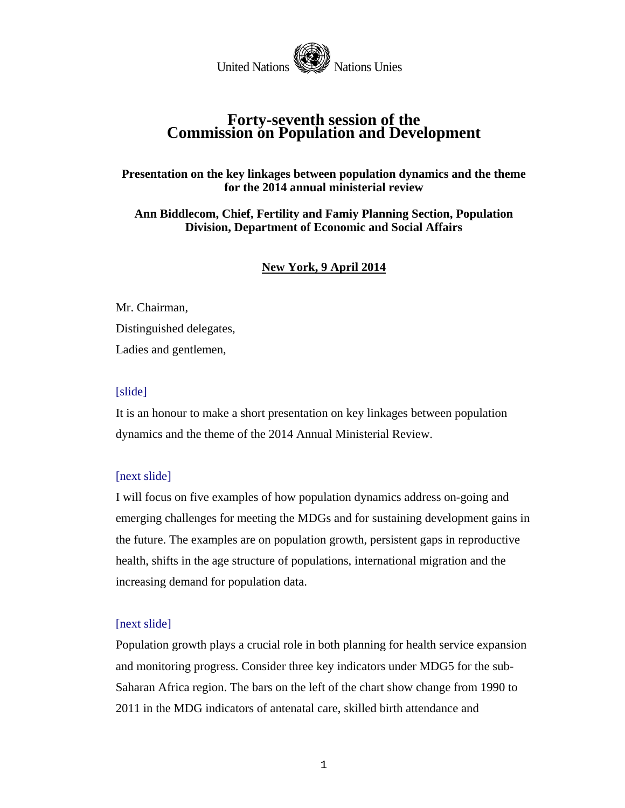

# **Forty-seventh session of the Commission on Population and Development**

# **Presentation on the key linkages between population dynamics and the theme for the 2014 annual ministerial review**

**Ann Biddlecom, Chief, Fertility and Famiy Planning Section, Population Division, Department of Economic and Social Affairs** 

# **New York, 9 April 2014**

Mr. Chairman, Distinguished delegates, Ladies and gentlemen,

## [slide]

It is an honour to make a short presentation on key linkages between population dynamics and the theme of the 2014 Annual Ministerial Review.

## [next slide]

I will focus on five examples of how population dynamics address on-going and emerging challenges for meeting the MDGs and for sustaining development gains in the future. The examples are on population growth, persistent gaps in reproductive health, shifts in the age structure of populations, international migration and the increasing demand for population data.

## [next slide]

Population growth plays a crucial role in both planning for health service expansion and monitoring progress. Consider three key indicators under MDG5 for the sub-Saharan Africa region. The bars on the left of the chart show change from 1990 to 2011 in the MDG indicators of antenatal care, skilled birth attendance and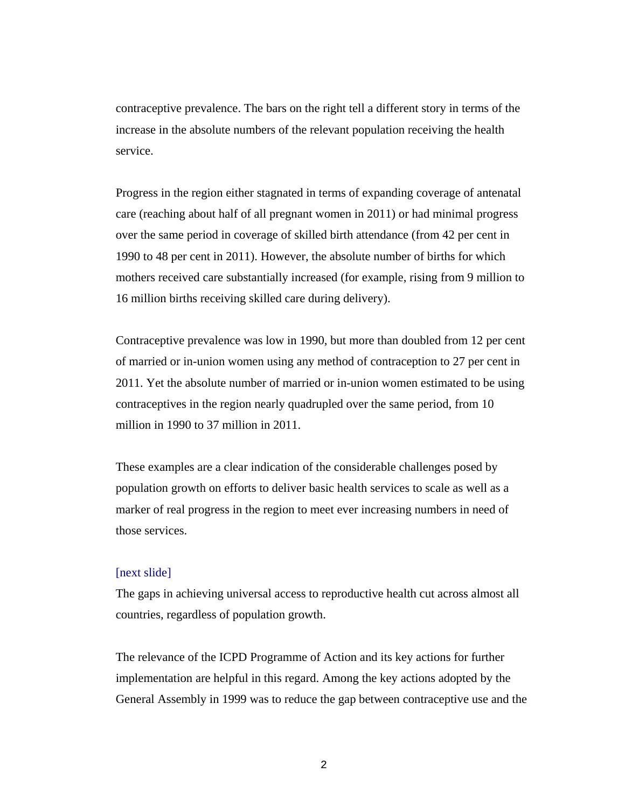contraceptive prevalence. The bars on the right tell a different story in terms of the increase in the absolute numbers of the relevant population receiving the health service.

Progress in the region either stagnated in terms of expanding coverage of antenatal care (reaching about half of all pregnant women in 2011) or had minimal progress over the same period in coverage of skilled birth attendance (from 42 per cent in 1990 to 48 per cent in 2011). However, the absolute number of births for which mothers received care substantially increased (for example, rising from 9 million to 16 million births receiving skilled care during delivery).

Contraceptive prevalence was low in 1990, but more than doubled from 12 per cent of married or in-union women using any method of contraception to 27 per cent in 2011. Yet the absolute number of married or in-union women estimated to be using contraceptives in the region nearly quadrupled over the same period, from 10 million in 1990 to 37 million in 2011.

These examples are a clear indication of the considerable challenges posed by population growth on efforts to deliver basic health services to scale as well as a marker of real progress in the region to meet ever increasing numbers in need of those services.

### [next slide]

The gaps in achieving universal access to reproductive health cut across almost all countries, regardless of population growth.

The relevance of the ICPD Programme of Action and its key actions for further implementation are helpful in this regard. Among the key actions adopted by the General Assembly in 1999 was to reduce the gap between contraceptive use and the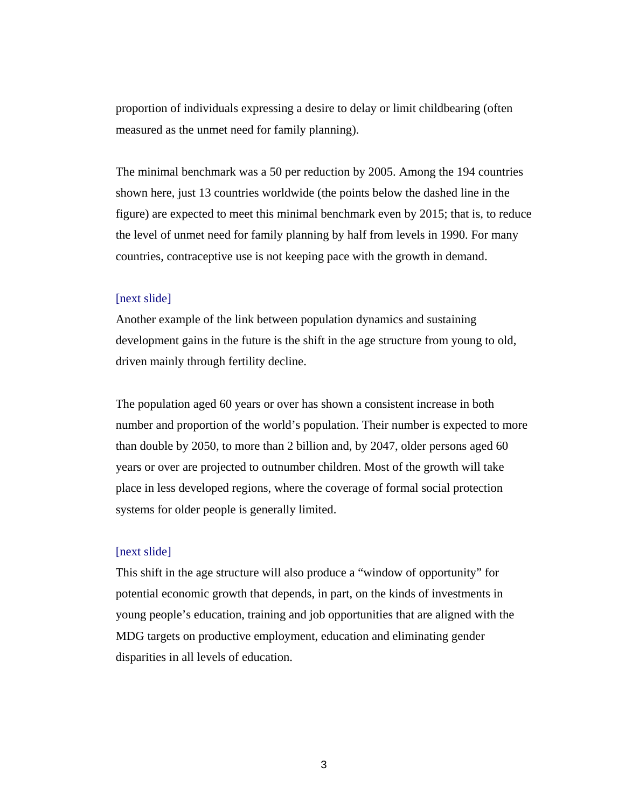proportion of individuals expressing a desire to delay or limit childbearing (often measured as the unmet need for family planning).

The minimal benchmark was a 50 per reduction by 2005. Among the 194 countries shown here, just 13 countries worldwide (the points below the dashed line in the figure) are expected to meet this minimal benchmark even by 2015; that is, to reduce the level of unmet need for family planning by half from levels in 1990. For many countries, contraceptive use is not keeping pace with the growth in demand.

## [next slide]

Another example of the link between population dynamics and sustaining development gains in the future is the shift in the age structure from young to old, driven mainly through fertility decline.

The population aged 60 years or over has shown a consistent increase in both number and proportion of the world's population. Their number is expected to more than double by 2050, to more than 2 billion and, by 2047, older persons aged 60 years or over are projected to outnumber children. Most of the growth will take place in less developed regions, where the coverage of formal social protection systems for older people is generally limited.

#### [next slide]

This shift in the age structure will also produce a "window of opportunity" for potential economic growth that depends, in part, on the kinds of investments in young people's education, training and job opportunities that are aligned with the MDG targets on productive employment, education and eliminating gender disparities in all levels of education.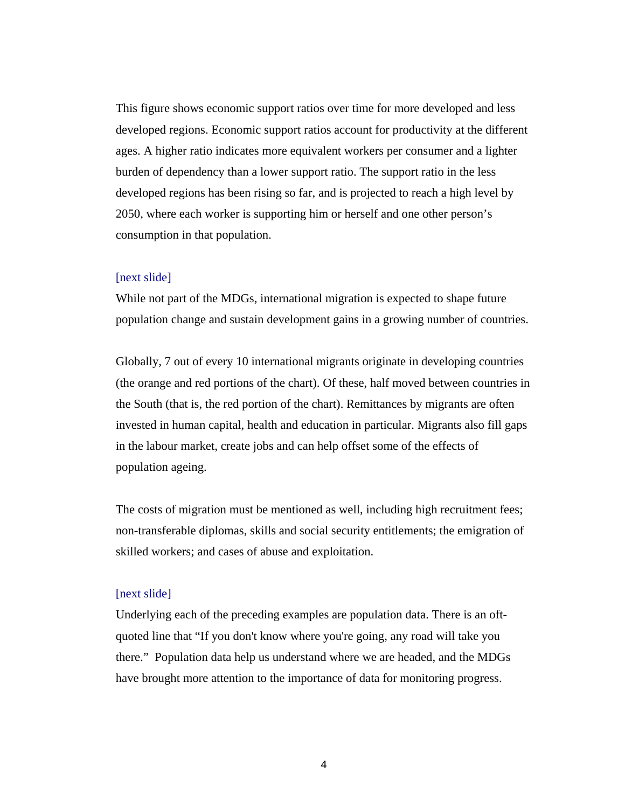This figure shows economic support ratios over time for more developed and less developed regions. Economic support ratios account for productivity at the different ages. A higher ratio indicates more equivalent workers per consumer and a lighter burden of dependency than a lower support ratio. The support ratio in the less developed regions has been rising so far, and is projected to reach a high level by 2050, where each worker is supporting him or herself and one other person's consumption in that population.

#### [next slide]

While not part of the MDGs, international migration is expected to shape future population change and sustain development gains in a growing number of countries.

Globally, 7 out of every 10 international migrants originate in developing countries (the orange and red portions of the chart). Of these, half moved between countries in the South (that is, the red portion of the chart). Remittances by migrants are often invested in human capital, health and education in particular. Migrants also fill gaps in the labour market, create jobs and can help offset some of the effects of population ageing.

The costs of migration must be mentioned as well, including high recruitment fees; non-transferable diplomas, skills and social security entitlements; the emigration of skilled workers; and cases of abuse and exploitation.

#### [next slide]

Underlying each of the preceding examples are population data. There is an oftquoted line that "If you don't know where you're going, any road will take you there." Population data help us understand where we are headed, and the MDGs have brought more attention to the importance of data for monitoring progress.